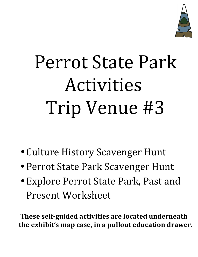

## Perrot State Park Activities Trip Venue #3

- Culture History Scavenger Hunt
- Perrot State Park Scavenger Hunt
- Explore Perrot State Park, Past and Present Worksheet

**These self-guided activities are located underneath**  the exhibit's map case, in a pullout education drawer.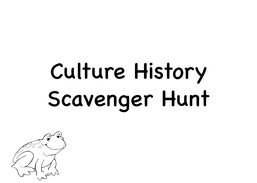## Culture History Scavenger Hunt

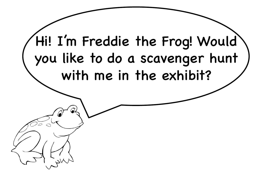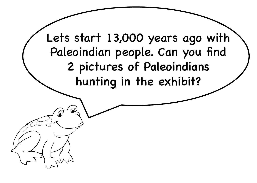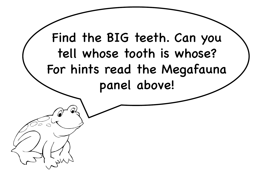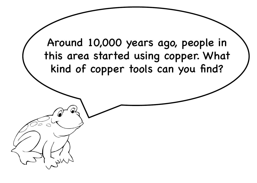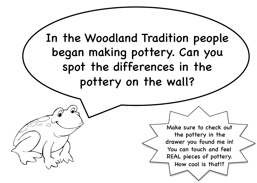![](_page_6_Picture_0.jpeg)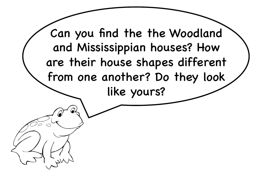![](_page_7_Picture_0.jpeg)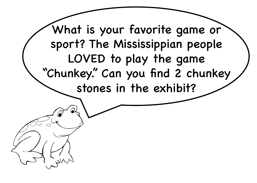![](_page_8_Picture_0.jpeg)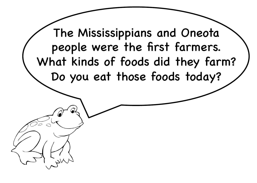The Mississippians and Oneota people were the first farmers. What kinds of foods did they farm? Do you eat those foods today?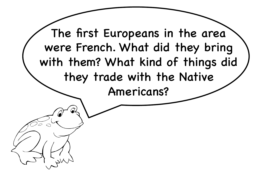![](_page_10_Picture_0.jpeg)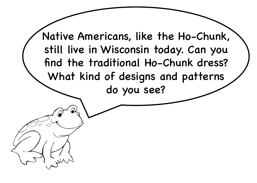![](_page_11_Picture_0.jpeg)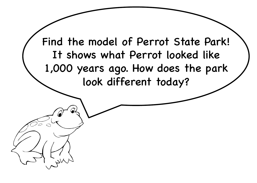![](_page_12_Picture_0.jpeg)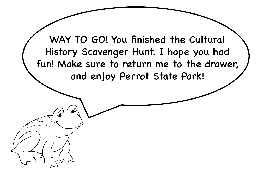![](_page_13_Picture_0.jpeg)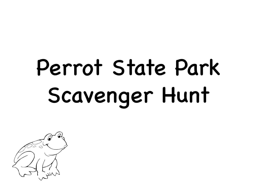## Perrot State Park Scavenger Hunt

![](_page_14_Picture_1.jpeg)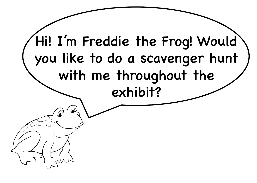![](_page_15_Picture_0.jpeg)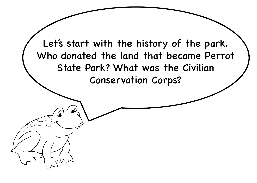![](_page_16_Picture_0.jpeg)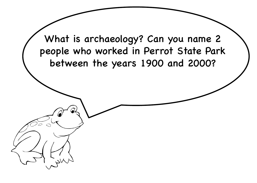![](_page_17_Picture_0.jpeg)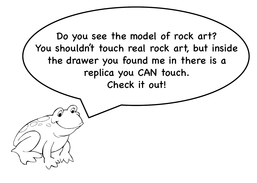Do you see the model of rock art? You shouldn't touch real rock art, but inside the drawer you found me in there is a replica you CAN touch. Check it out!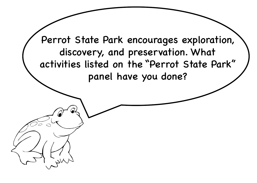Perrot State Park encourages exploration, discovery, and preservation. What activities listed on the "Perrot State Park" panel have you done?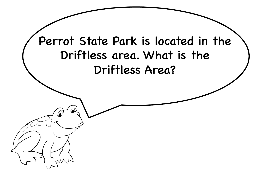![](_page_20_Picture_0.jpeg)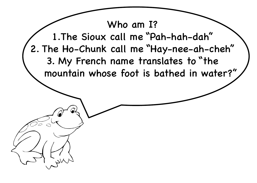![](_page_21_Picture_0.jpeg)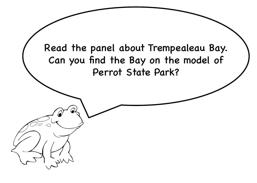![](_page_22_Picture_0.jpeg)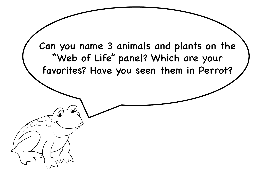Can you name 3 animals and plants on the "Web of Life" panel? Which are your favorites? Have you seen them in Perrot?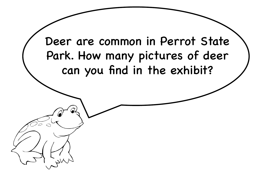![](_page_24_Picture_0.jpeg)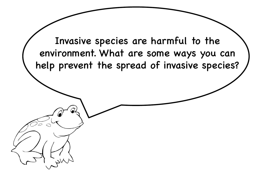![](_page_25_Picture_0.jpeg)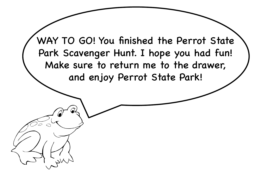![](_page_26_Picture_0.jpeg)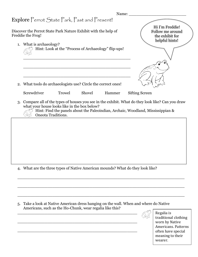| Name:                                                                                                                                                                                                            |                                                                          |
|------------------------------------------------------------------------------------------------------------------------------------------------------------------------------------------------------------------|--------------------------------------------------------------------------|
| Explore Perrot State Park, Past and Present!                                                                                                                                                                     |                                                                          |
| Discover the Perrot State Park Nature Exhibit with the help of<br>Freddie the Frog!<br>1. What is archaeology?<br>Hint: Look at the "Process of Archaeology" flip-ups!                                           | Hi I'm Freddie!<br>Follow me around<br>the exhibit for<br>helpful hints! |
| 2. What tools do archaeologists use? Circle the correct ones!<br>Screwdriver<br>Shovel<br>Trowel<br>Hammer<br>3. Compare all of the types of houses you see in the exhibit. What do they look like? Can you draw | <b>Sifting Screen</b>                                                    |
| what your house looks like in the box below?<br>Hint: Find the panels about the Paleoindian, Archaic, Woodland, Mississippian &<br><b>Oneota Traditions.</b>                                                     |                                                                          |
|                                                                                                                                                                                                                  |                                                                          |

4. What are the three types of Native American mounds? What do they look like?

5. Take a look at Native American dress hanging on the wall. When and where do Native Americans, such as the Ho-Chunk, wear regalia like this?

\_\_\_\_\_\_\_\_\_\_\_\_\_\_\_\_\_\_\_\_\_\_\_\_\_\_\_\_\_\_\_\_\_\_\_\_\_\_\_\_\_\_\_\_\_\_\_\_

\_\_\_\_\_\_\_\_\_\_\_\_\_\_\_\_\_\_\_\_\_\_\_\_\_\_\_\_\_\_\_\_\_\_\_\_\_\_\_\_\_\_\_\_\_\_\_\_

\_\_\_\_\_\_\_\_\_\_\_\_\_\_\_\_\_\_\_\_\_\_\_\_\_\_\_\_\_\_\_\_\_\_\_\_\_\_\_\_\_\_\_\_\_\_\_\_

 $\_$  , and the set of the set of the set of the set of the set of the set of the set of the set of the set of the set of the set of the set of the set of the set of the set of the set of the set of the set of the set of th

\_\_\_\_\_\_\_\_\_\_\_\_\_\_\_\_\_\_\_\_\_\_\_\_\_\_\_\_\_\_\_\_\_\_\_\_\_\_\_\_\_\_\_\_\_\_\_\_\_\_\_\_\_\_\_\_\_\_\_\_\_\_\_\_\_\_\_

 $\_$  , and the set of the set of the set of the set of the set of the set of the set of the set of the set of the set of the set of the set of the set of the set of the set of the set of the set of the set of the set of th

Regalia is traditional clothing worn by Native Americans. Patterns often have special meaning to their wearer.